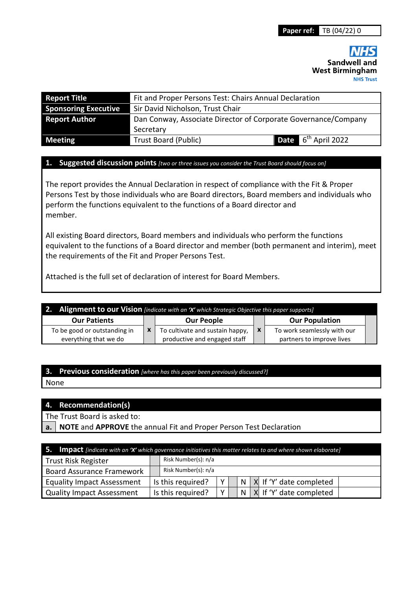Sandwell and **West Birmingham NHS Trust** 

| <b>Report Title</b>         | Fit and Proper Persons Test: Chairs Annual Declaration         |  |                                 |  |
|-----------------------------|----------------------------------------------------------------|--|---------------------------------|--|
| <b>Sponsoring Executive</b> | Sir David Nicholson, Trust Chair                               |  |                                 |  |
| <b>Report Author</b>        | Dan Conway, Associate Director of Corporate Governance/Company |  |                                 |  |
|                             | Secretary                                                      |  |                                 |  |
| <b>Meeting</b>              | <b>Trust Board (Public)</b>                                    |  | <b>Date</b> $6^{th}$ April 2022 |  |

#### **1. Suggested discussion points** *[two or three issues you consider the Trust Board should focus on]*

The report provides the Annual Declaration in respect of compliance with the Fit & Proper Persons Test by those individuals who are Board directors, Board members and individuals who perform the functions equivalent to the functions of a Board director and member.

All existing Board directors, Board members and individuals who perform the functions equivalent to the functions of a Board director and member (both permanent and interim), meet the requirements of the Fit and Proper Persons Test.

Attached is the full set of declaration of interest for Board Members.

| 2. Alignment to our Vision [indicate with an 'X' which Strategic Objective this paper supports] |  |                                                                 |              |                                                          |  |  |
|-------------------------------------------------------------------------------------------------|--|-----------------------------------------------------------------|--------------|----------------------------------------------------------|--|--|
| <b>Our Patients</b>                                                                             |  | <b>Our People</b>                                               |              | <b>Our Population</b>                                    |  |  |
| To be good or outstanding in<br>everything that we do                                           |  | To cultivate and sustain happy,<br>productive and engaged staff | $\mathbf{x}$ | To work seamlessly with our<br>partners to improve lives |  |  |

### **3. Previous consideration** *[where has this paper been previously discussed?]*

None

### **4. Recommendation(s)**

The Trust Board is asked to:

**a. NOTE** and **APPROVE** the annual Fit and Proper Person Test Declaration

| $\mathsf{I}$ 5. Impact [indicate with an 'X' which governance initiatives this matter relates to and where shown elaborate] |  |                     |                |  |  |  |                                 |
|-----------------------------------------------------------------------------------------------------------------------------|--|---------------------|----------------|--|--|--|---------------------------------|
| Trust Risk Register                                                                                                         |  | Risk Number(s): n/a |                |  |  |  |                                 |
| <b>Board Assurance Framework</b>                                                                                            |  | Risk Number(s): n/a |                |  |  |  |                                 |
| <b>Equality Impact Assessment</b>                                                                                           |  | Is this required?   | V <sub>1</sub> |  |  |  | $N$ $X$ If 'Y' date completed   |
| <b>Quality Impact Assessment</b>                                                                                            |  | Is this required?   | $\vee$ 1       |  |  |  | $N$   X   If 'Y' date completed |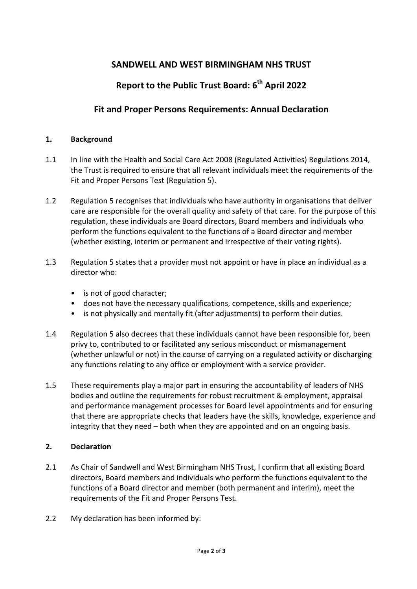# **SANDWELL AND WEST BIRMINGHAM NHS TRUST**

# **Report to the Public Trust Board: 6th April 2022**

## **Fit and Proper Persons Requirements: Annual Declaration**

### **1. Background**

- 1.1 In line with the Health and Social Care Act 2008 (Regulated Activities) Regulations 2014, the Trust is required to ensure that all relevant individuals meet the requirements of the Fit and Proper Persons Test (Regulation 5).
- 1.2 Regulation 5 recognises that individuals who have authority in organisations that deliver care are responsible for the overall quality and safety of that care. For the purpose of this regulation, these individuals are Board directors, Board members and individuals who perform the functions equivalent to the functions of a Board director and member (whether existing, interim or permanent and irrespective of their voting rights).
- 1.3 Regulation 5 states that a provider must not appoint or have in place an individual as a director who:
	- is not of good character;
	- does not have the necessary qualifications, competence, skills and experience;
	- is not physically and mentally fit (after adjustments) to perform their duties.
- 1.4 Regulation 5 also decrees that these individuals cannot have been responsible for, been privy to, contributed to or facilitated any serious misconduct or mismanagement (whether unlawful or not) in the course of carrying on a regulated activity or discharging any functions relating to any office or employment with a service provider.
- 1.5 These requirements play a major part in ensuring the accountability of leaders of NHS bodies and outline the requirements for robust recruitment & employment, appraisal and performance management processes for Board level appointments and for ensuring that there are appropriate checks that leaders have the skills, knowledge, experience and integrity that they need – both when they are appointed and on an ongoing basis.

### **2. Declaration**

- 2.1 As Chair of Sandwell and West Birmingham NHS Trust, I confirm that all existing Board directors, Board members and individuals who perform the functions equivalent to the functions of a Board director and member (both permanent and interim), meet the requirements of the Fit and Proper Persons Test.
- 2.2 My declaration has been informed by: